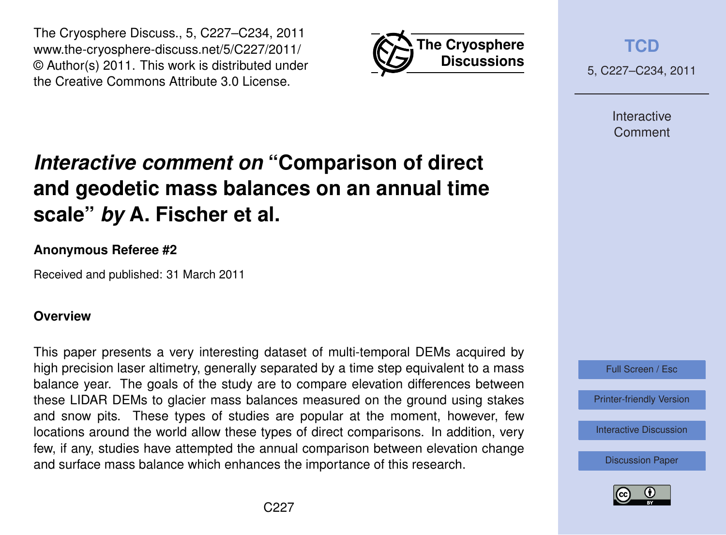



**[TCD](http://www.the-cryosphere-discuss.net)**

5, C227–C234, 2011

Interactive Comment

# *Interactive comment on* **"Comparison of direct and geodetic mass balances on an annual time scale"** *by* **A. Fischer et al.**

## **Anonymous Referee #2**

Received and published: 31 March 2011

## **Overview**

This paper presents a very interesting dataset of multi-temporal DEMs acquired by high precision laser altimetry, generally separated by a time step equivalent to a mass balance year. The goals of the study are to compare elevation differences between these LIDAR DEMs to glacier mass balances measured on the ground using stakes and snow pits. These types of studies are popular at the moment, however, few locations around the world allow these types of direct comparisons. In addition, very few, if any, studies have attempted the annual comparison between elevation change and surface mass balance which enhances the importance of this research.



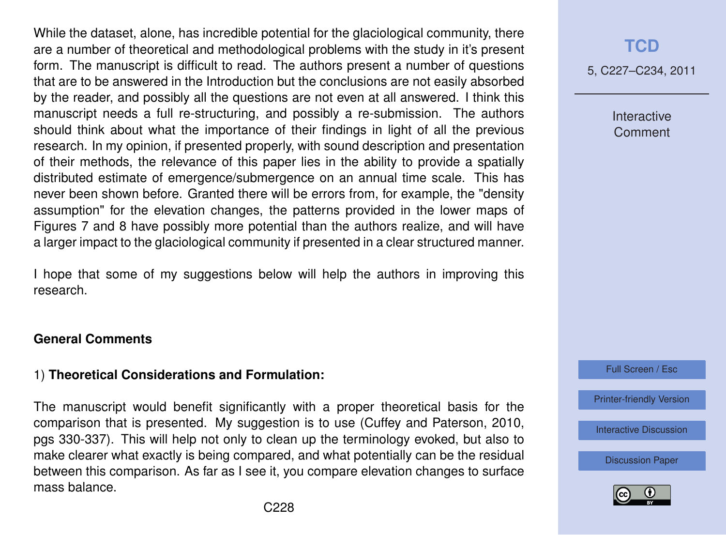While the dataset, alone, has incredible potential for the glaciological community, there are a number of theoretical and methodological problems with the study in it's present form. The manuscript is difficult to read. The authors present a number of questions that are to be answered in the Introduction but the conclusions are not easily absorbed by the reader, and possibly all the questions are not even at all answered. I think this manuscript needs a full re-structuring, and possibly a re-submission. The authors should think about what the importance of their findings in light of all the previous research. In my opinion, if presented properly, with sound description and presentation of their methods, the relevance of this paper lies in the ability to provide a spatially distributed estimate of emergence/submergence on an annual time scale. This has never been shown before. Granted there will be errors from, for example, the "density assumption" for the elevation changes, the patterns provided in the lower maps of Figures 7 and 8 have possibly more potential than the authors realize, and will have a larger impact to the glaciological community if presented in a clear structured manner.

I hope that some of my suggestions below will help the authors in improving this research.

#### **General Comments**

## 1) **Theoretical Considerations and Formulation:**

The manuscript would benefit significantly with a proper theoretical basis for the comparison that is presented. My suggestion is to use [\(Cuffey and Paterson,](#page-7-0) [2010,](#page-7-0) pgs 330-337). This will help not only to clean up the terminology evoked, but also to make clearer what exactly is being compared, and what potentially can be the residual between this comparison. As far as I see it, you compare elevation changes to surface mass balance.

## **[TCD](http://www.the-cryosphere-discuss.net)**

5, C227–C234, 2011

Interactive Comment

Full Screen / Esc

[Printer-friendly Version](http://www.the-cryosphere-discuss.net/5/C227/2011/tcd-5-C227-2011-print.pdf)

[Interactive Discussion](http://www.the-cryosphere-discuss.net/5/565/2011/tcd-5-565-2011-discussion.html)

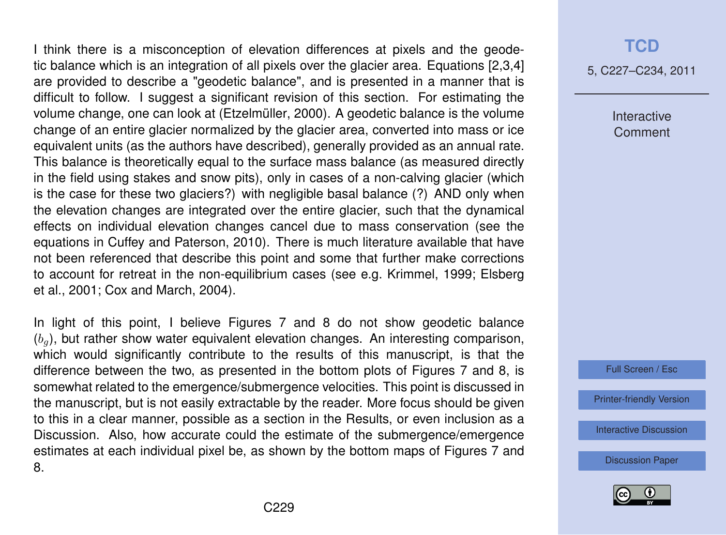I think there is a misconception of elevation differences at pixels and the geodetic balance which is an integration of all pixels over the glacier area. Equations [2,3,4] are provided to describe a "geodetic balance", and is presented in a manner that is difficult to follow. I suggest a significant revision of this section. For estimating the volume change, one can look at [\(Etzelmüller,](#page-7-0) [2000\)](#page-7-0). A geodetic balance is the volume change of an entire glacier normalized by the glacier area, converted into mass or ice equivalent units (as the authors have described), generally provided as an annual rate. This balance is theoretically equal to the surface mass balance (as measured directly in the field using stakes and snow pits), only in cases of a non-calving glacier (which is the case for these two glaciers?) with negligible basal balance (?) AND only when the elevation changes are integrated over the entire glacier, such that the dynamical effects on individual elevation changes cancel due to mass conservation (see the equations in [Cuffey and Paterson,](#page-7-0) [2010\)](#page-7-0). There is much literature available that have not been referenced that describe this point and some that further make corrections to account for retreat in the non-equilibrium cases (see e.g. [Krimmel,](#page-7-0) [1999;](#page-7-0) [Elsberg](#page-7-0) [et al.,](#page-7-0) [2001;](#page-7-0) [Cox and March,](#page-7-0) [2004\)](#page-7-0).

In light of this point, I believe Figures 7 and 8 do not show geodetic balance  $(b<sub>a</sub>)$ , but rather show water equivalent elevation changes. An interesting comparison, which would significantly contribute to the results of this manuscript, is that the difference between the two, as presented in the bottom plots of Figures 7 and 8, is somewhat related to the emergence/submergence velocities. This point is discussed in the manuscript, but is not easily extractable by the reader. More focus should be given to this in a clear manner, possible as a section in the Results, or even inclusion as a Discussion. Also, how accurate could the estimate of the submergence/emergence estimates at each individual pixel be, as shown by the bottom maps of Figures 7 and 8.

## **[TCD](http://www.the-cryosphere-discuss.net)**

5, C227–C234, 2011

Interactive **Comment** 

Full Screen / Esc

[Printer-friendly Version](http://www.the-cryosphere-discuss.net/5/C227/2011/tcd-5-C227-2011-print.pdf)

[Interactive Discussion](http://www.the-cryosphere-discuss.net/5/565/2011/tcd-5-565-2011-discussion.html)

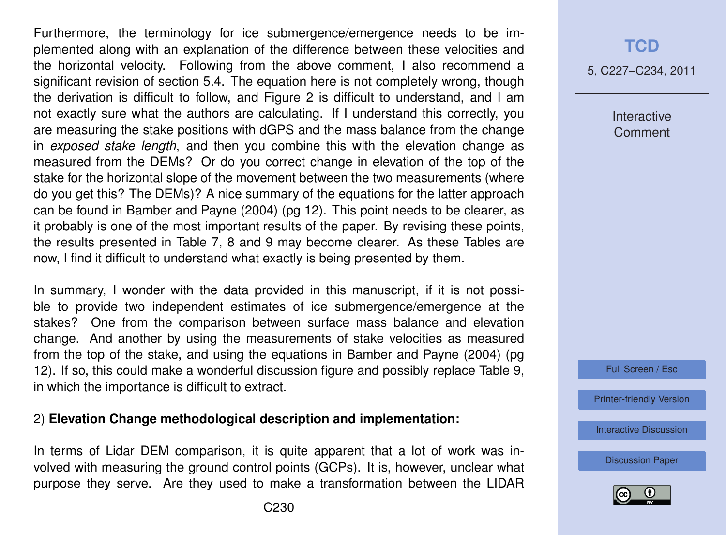Furthermore, the terminology for ice submergence/emergence needs to be implemented along with an explanation of the difference between these velocities and the horizontal velocity. Following from the above comment, I also recommend a significant revision of section 5.4. The equation here is not completely wrong, though the derivation is difficult to follow, and Figure 2 is difficult to understand, and I am not exactly sure what the authors are calculating. If I understand this correctly, you are measuring the stake positions with dGPS and the mass balance from the change in *exposed stake length*, and then you combine this with the elevation change as measured from the DEMs? Or do you correct change in elevation of the top of the stake for the horizontal slope of the movement between the two measurements (where do you get this? The DEMs)? A nice summary of the equations for the latter approach can be found in [Bamber and Payne](#page-6-0) [\(2004\)](#page-6-0) (pg 12). This point needs to be clearer, as it probably is one of the most important results of the paper. By revising these points, the results presented in Table 7, 8 and 9 may become clearer. As these Tables are now, I find it difficult to understand what exactly is being presented by them.

In summary, I wonder with the data provided in this manuscript, if it is not possible to provide two independent estimates of ice submergence/emergence at the stakes? One from the comparison between surface mass balance and elevation change. And another by using the measurements of stake velocities as measured from the top of the stake, and using the equations in [Bamber and Payne](#page-6-0) [\(2004\)](#page-6-0) (pg 12). If so, this could make a wonderful discussion figure and possibly replace Table 9, in which the importance is difficult to extract.

#### 2) **Elevation Change methodological description and implementation:**

In terms of Lidar DEM comparison, it is quite apparent that a lot of work was involved with measuring the ground control points (GCPs). It is, however, unclear what purpose they serve. Are they used to make a transformation between the LIDAR

## **[TCD](http://www.the-cryosphere-discuss.net)**

5, C227–C234, 2011

Interactive **Comment** 

Full Screen / Esc

[Printer-friendly Version](http://www.the-cryosphere-discuss.net/5/C227/2011/tcd-5-C227-2011-print.pdf)

[Interactive Discussion](http://www.the-cryosphere-discuss.net/5/565/2011/tcd-5-565-2011-discussion.html)

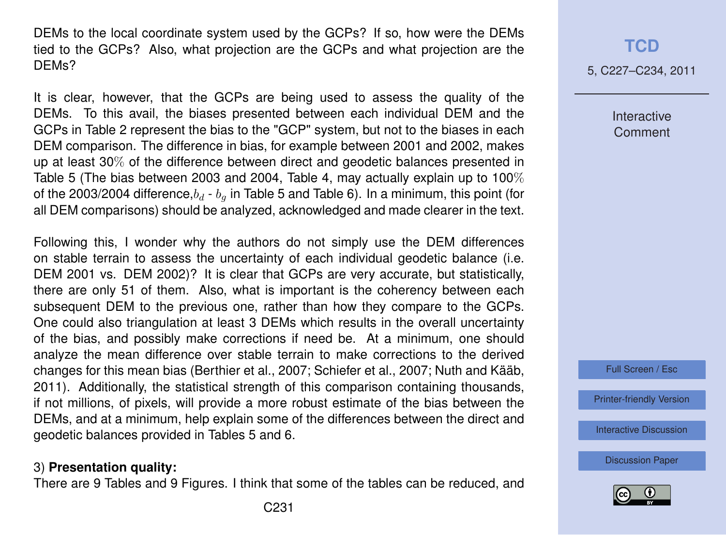DEMs to the local coordinate system used by the GCPs? If so, how were the DEMs tied to the GCPs? Also, what projection are the GCPs and what projection are the DEMs?

It is clear, however, that the GCPs are being used to assess the quality of the DEMs. To this avail, the biases presented between each individual DEM and the GCPs in Table 2 represent the bias to the "GCP" system, but not to the biases in each DEM comparison. The difference in bias, for example between 2001 and 2002, makes up at least 30% of the difference between direct and geodetic balances presented in Table 5 (The bias between 2003 and 2004, Table 4, may actually explain up to 100% of the 2003/2004 difference, $b_d$  -  $b_g$  in Table 5 and Table 6). In a minimum, this point (for all DEM comparisons) should be analyzed, acknowledged and made clearer in the text.

Following this, I wonder why the authors do not simply use the DEM differences on stable terrain to assess the uncertainty of each individual geodetic balance (i.e. DEM 2001 vs. DEM 2002)? It is clear that GCPs are very accurate, but statistically, there are only 51 of them. Also, what is important is the coherency between each subsequent DEM to the previous one, rather than how they compare to the GCPs. One could also triangulation at least 3 DEMs which results in the overall uncertainty of the bias, and possibly make corrections if need be. At a minimum, one should analyze the mean difference over stable terrain to make corrections to the derived changes for this mean bias [\(Berthier et al.,](#page-7-0) [2007;](#page-7-0) [Schiefer et al.,](#page-7-0) [2007;](#page-7-0) [Nuth and Kääb,](#page-7-0) [2011\)](#page-7-0). Additionally, the statistical strength of this comparison containing thousands, if not millions, of pixels, will provide a more robust estimate of the bias between the DEMs, and at a minimum, help explain some of the differences between the direct and geodetic balances provided in Tables 5 and 6.

## 3) **Presentation quality:**

There are 9 Tables and 9 Figures. I think that some of the tables can be reduced, and

5, C227–C234, 2011

Interactive **Comment** 



[Printer-friendly Version](http://www.the-cryosphere-discuss.net/5/C227/2011/tcd-5-C227-2011-print.pdf)

[Interactive Discussion](http://www.the-cryosphere-discuss.net/5/565/2011/tcd-5-565-2011-discussion.html)

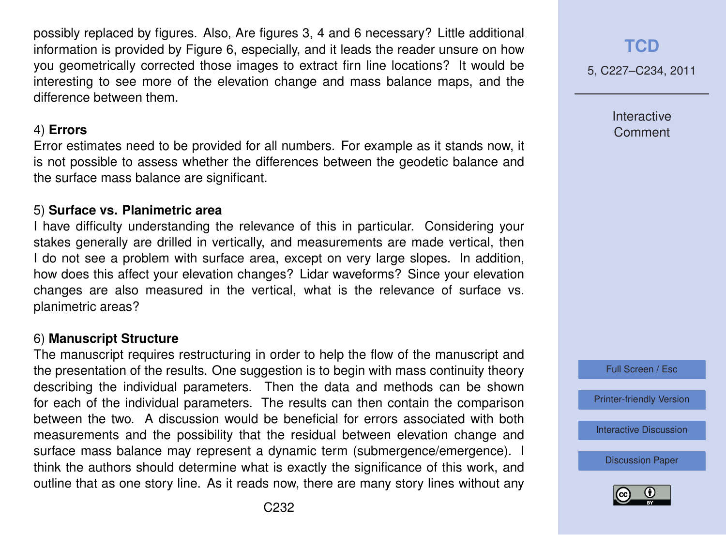possibly replaced by figures. Also, Are figures 3, 4 and 6 necessary? Little additional information is provided by Figure 6, especially, and it leads the reader unsure on how you geometrically corrected those images to extract firn line locations? It would be interesting to see more of the elevation change and mass balance maps, and the difference between them.

## 4) **Errors**

Error estimates need to be provided for all numbers. For example as it stands now, it is not possible to assess whether the differences between the geodetic balance and the surface mass balance are significant.

## 5) **Surface vs. Planimetric area**

I have difficulty understanding the relevance of this in particular. Considering your stakes generally are drilled in vertically, and measurements are made vertical, then I do not see a problem with surface area, except on very large slopes. In addition, how does this affect your elevation changes? Lidar waveforms? Since your elevation changes are also measured in the vertical, what is the relevance of surface vs. planimetric areas?

## 6) **Manuscript Structure**

The manuscript requires restructuring in order to help the flow of the manuscript and the presentation of the results. One suggestion is to begin with mass continuity theory describing the individual parameters. Then the data and methods can be shown for each of the individual parameters. The results can then contain the comparison between the two. A discussion would be beneficial for errors associated with both measurements and the possibility that the residual between elevation change and surface mass balance may represent a dynamic term (submergence/emergence). I think the authors should determine what is exactly the significance of this work, and outline that as one story line. As it reads now, there are many story lines without any **[TCD](http://www.the-cryosphere-discuss.net)**

5, C227–C234, 2011

Interactive **Comment** 



[Printer-friendly Version](http://www.the-cryosphere-discuss.net/5/C227/2011/tcd-5-C227-2011-print.pdf)

[Interactive Discussion](http://www.the-cryosphere-discuss.net/5/565/2011/tcd-5-565-2011-discussion.html)

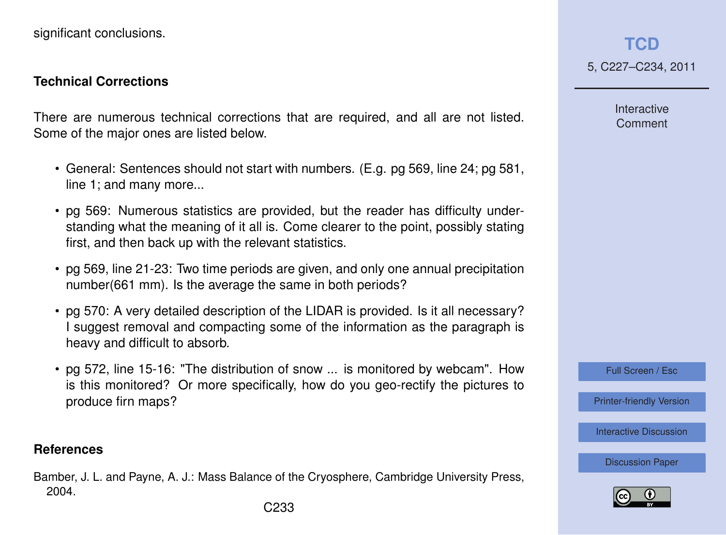<span id="page-6-0"></span>significant conclusions.

#### **Technical Corrections**

There are numerous technical corrections that are required, and all are not listed. Some of the major ones are listed below.

- General: Sentences should not start with numbers. (E.g. pg 569, line 24; pg 581, line 1; and many more...
- pg 569: Numerous statistics are provided, but the reader has difficulty understanding what the meaning of it all is. Come clearer to the point, possibly stating first, and then back up with the relevant statistics.
- pg 569, line 21-23: Two time periods are given, and only one annual precipitation number(661 mm). Is the average the same in both periods?
- pg 570: A very detailed description of the LIDAR is provided. Is it all necessary? I suggest removal and compacting some of the information as the paragraph is heavy and difficult to absorb.
- pg 572, line 15-16: "The distribution of snow ... is monitored by webcam". How is this monitored? Or more specifically, how do you geo-rectify the pictures to produce firn maps?

## **References**

Bamber, J. L. and Payne, A. J.: Mass Balance of the Cryosphere, Cambridge University Press, 2004.

**[TCD](http://www.the-cryosphere-discuss.net)** 5, C227–C234, 2011

> Interactive Comment

Full Screen / Esc

[Printer-friendly Version](http://www.the-cryosphere-discuss.net/5/C227/2011/tcd-5-C227-2011-print.pdf)

[Interactive Discussion](http://www.the-cryosphere-discuss.net/5/565/2011/tcd-5-565-2011-discussion.html)